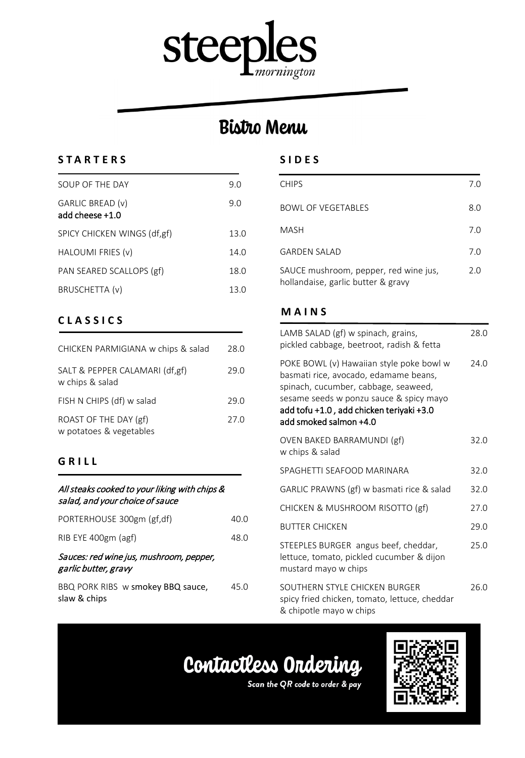

## **Bistro Menu**

## **STARTERS**

| SOUP OF THE DAY                     | 9.0  |
|-------------------------------------|------|
| GARLIC BREAD (v)<br>add cheese +1.0 | 9.0  |
| SPICY CHICKEN WINGS (df,gf)         | 13.0 |
| HALOUMI FRIES (v)                   | 14.0 |
| PAN SEARED SCALLOPS (gf)            | 18.0 |
| BRUSCHETTA (v)                      | 13.0 |

## **CLASSICS**

| CHICKEN PARMIGIANA w chips & salad                | 28.0 |
|---------------------------------------------------|------|
| SALT & PEPPER CALAMARI (df,gf)<br>w chips & salad | 29.0 |
| FISH N CHIPS (df) w salad                         | 29.O |
| ROAST OF THE DAY (gf)<br>w potatoes & vegetables  | 27.0 |

## **GRILL**

#### All steaks cooked to your liking with chips & salad, and your choice of sauce

| PORTERHOUSE 300gm (gf,df)                                       | 40.0 |
|-----------------------------------------------------------------|------|
| RIB EYE 400gm (agf)                                             | 48.0 |
| Sauces: red wine jus, mushroom, pepper,<br>garlic butter, gravy |      |
| BBQ PORK RIBS w smokey BBQ sauce,<br>slaw & chips               | 45.0 |

### **SIDES**

| <b>CHIPS</b>                                                                | 7.0 |
|-----------------------------------------------------------------------------|-----|
| <b>BOWL OF VEGETABLES</b>                                                   | 8.0 |
| <b>MASH</b>                                                                 | 7.0 |
| <b>GARDEN SALAD</b>                                                         | 7.0 |
| SAUCE mushroom, pepper, red wine jus,<br>hollandaise, garlic butter & gravy | 2.0 |

## **MAINS**

| LAMB SALAD (gf) w spinach, grains,<br>pickled cabbage, beetroot, radish & fetta                                                                                                                                                            | 28.0 |
|--------------------------------------------------------------------------------------------------------------------------------------------------------------------------------------------------------------------------------------------|------|
| POKE BOWL (v) Hawaiian style poke bowl w<br>basmati rice, avocado, edamame beans,<br>spinach, cucumber, cabbage, seaweed,<br>sesame seeds w ponzu sauce & spicy mayo<br>add tofu +1.0, add chicken teriyaki +3.0<br>add smoked salmon +4.0 | 74.0 |
| OVEN BAKED BARRAMUNDI (gf)<br>w chips & salad                                                                                                                                                                                              | 32.0 |
| SPAGHETTI SEAFOOD MARINARA                                                                                                                                                                                                                 | 32.0 |
| GARLIC PRAWNS (gf) w basmati rice & salad                                                                                                                                                                                                  | 32.0 |
| CHICKEN & MUSHROOM RISOTTO (gf)                                                                                                                                                                                                            | 27.0 |
| <b>BUTTER CHICKEN</b>                                                                                                                                                                                                                      | 29.0 |
| STEEPLES BURGER angus beef, cheddar,<br>lettuce, tomato, pickled cucumber & dijon<br>mustard mayo w chips                                                                                                                                  | 25.0 |
| SOUTHERN STYLE CHICKEN BURGER<br>spicy fried chicken, tomato, lettuce, cheddar<br>& chipotle mayo w chips                                                                                                                                  | 26.0 |

# Contactless Ordering



Scan the QR code to order & pay